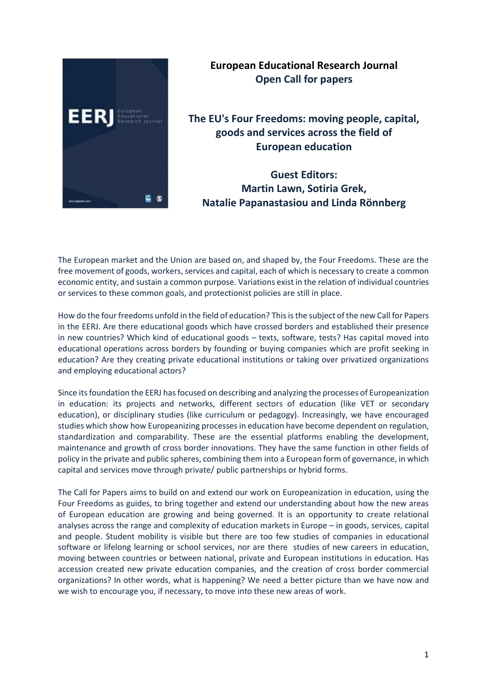

## **European Educational Research Journal Open Call for papers**

**The EU's Four Freedoms: moving people, capital, goods and services across the field of European education** 

**Guest Editors: Martin Lawn, Sotiria Grek, Natalie Papanastasiou and Linda Rönnberg**

The European market and the Union are based on, and shaped by, the Four Freedoms. These are the free movement of goods, workers, services and capital, each of which is necessary to create a common economic entity, and sustain a common purpose. Variations exist in the relation of individual countries or services to these common goals, and protectionist policies are still in place.

How do the four freedoms unfold in the field of education? This is the subject of the new Call for Papers in the EERJ. Are there educational goods which have crossed borders and established their presence in new countries? Which kind of educational goods – texts, software, tests? Has capital moved into educational operations across borders by founding or buying companies which are profit seeking in education? Are they creating private educational institutions or taking over privatized organizations and employing educational actors?

Since its foundation the EERJ has focused on describing and analyzing the processes of Europeanization in education: its projects and networks, different sectors of education (like VET or secondary education), or disciplinary studies (like curriculum or pedagogy). Increasingly, we have encouraged studies which show how Europeanizing processes in education have become dependent on regulation, standardization and comparability. These are the essential platforms enabling the development, maintenance and growth of cross border innovations. They have the same function in other fields of policy in the private and public spheres, combining them into a European form of governance, in which capital and services move through private/ public partnerships or hybrid forms.

The Call for Papers aims to build on and extend our work on Europeanization in education, using the Four Freedoms as guides, to bring together and extend our understanding about how the new areas of European education are growing and being governed. It is an opportunity to create relational analyses across the range and complexity of education markets in Europe – in goods, services, capital and people. Student mobility is visible but there are too few studies of companies in educational software or lifelong learning or school services, nor are there studies of new careers in education, moving between countries or between national, private and European institutions in education. Has accession created new private education companies, and the creation of cross border commercial organizations? In other words, what is happening? We need a better picture than we have now and we wish to encourage you, if necessary, to move into these new areas of work.